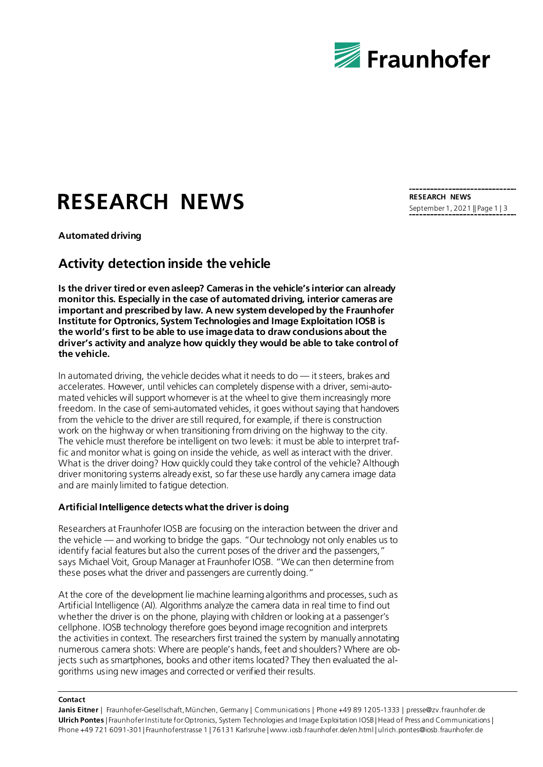

# **RESEARCH NEWS**

**Automated driving**

## **Activity detection inside the vehicle**

**Is the driver tired or even asleep? Cameras in the vehicle's interior can already monitor this. Especially in the case of automated driving, interior cameras are important and prescribed by law. A new system developed by the Fraunhofer Institute for Optronics, System Technologies and Image Exploitation IOSB is the world's first to be able to use image data to draw conclusions about the driver's activity and analyze how quickly they would be able to take control of the vehicle.**

In automated driving, the vehicle decides what it needs to do — it steers, brakes and accelerates. However, until vehicles can completely dispense with a driver, semi-automated vehicles will support whomever is at the wheel to give them increasingly more freedom. In the case of semi-automated vehicles, it goes without saying that handovers from the vehicle to the driver are still required, for example, if there is construction work on the highway or when transitioning from driving on the highway to the city. The vehicle must therefore be intelligent on two levels: it must be able to interpret traffic and monitor what is going on inside the vehide, as well as interact with the driver. What is the driver doing? How quickly could they take control of the vehicle? Although driver monitoring systems already exist, so far these use hardly any camera image data and are mainly limited to fatigue detection.

## **Artificial Intelligence detects what the driver is doing**

Researchers at Fraunhofer IOSB are focusing on the interaction between the driver and the vehicle — and working to bridge the gaps. "Our technology not only enables us to identify facial features but also the current poses of the driver and the passengers," says Michael Voit, Group Manager at Fraunhofer IOSB. "We can then determine from these poses what the driver and passengers are currently doing."

At the core of the development lie machine learning algorithms and processes, such as Artificial Intelligence (AI). Algorithms analyze the camera data in real time to find out whether the driver is on the phone, playing with children or looking at a passenger's cellphone. IOSB technology therefore goes beyond image recognition and interprets the activities in context. The researchers first trained the system by manually annotating numerous camera shots: Where are people's hands, feet and shoulders? Where are objects such as smartphones, books and other items located? They then evaluated the algorithms using new images and corrected or verified their results.

#### **Contact**

**Janis Eitner** | Fraunhofer-Gesellschaft, München, Germany | Communications | Phone +49 89 1205-1333 | presse@zv.fraunhofer.de **Ulrich Pontes** | Fraunhofer Institute for Optronics, System Technologies and Image Exploitation IOSB | Head of Press and Communications | Phone +49 721 6091-301 | Fraunhoferstrasse 1 | 76131 Karlsruhe | www.iosb.fraunhofer.de/en.html | ulrich.pontes@iosb.fraunhofer.de

**RESEARCH NEWS** September 1, 2021 || Page 1 | 3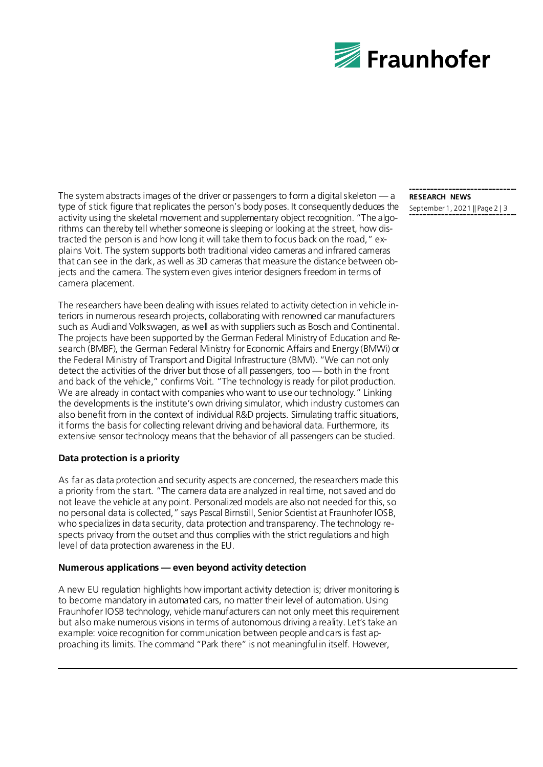

The system abstracts images of the driver or passengers to form a digital skeleton — a type of stick figure that replicates the person's body poses. It consequently deduces the activity using the skeletal movement and supplementary object recognition. "The algorithms can thereby tell whether someone is sleeping or looking at the street, how distracted the person is and how long it will take them to focus back on the road," explains Voit. The system supports both traditional video cameras and infrared cameras that can see in the dark, as well as 3D cameras that measure the distance between objects and the camera. The system even gives interior designers freedom in terms of camera placement.

The researchers have been dealing with issues related to activity detection in vehicle interiors in numerous research projects, collaborating with renowned car manufacturers such as Audi and Volkswagen, as well as with suppliers such as Bosch and Continental. The projects have been supported by the German Federal Ministry of Education and Research (BMBF), the German Federal Ministry for Economic Affairs and Energy (BMWi) or the Federal Ministry of Transport and Digital Infrastructure (BMVI). "We can not only detect the activities of the driver but those of all passengers, too — both in the front and back of the vehicle," confirms Voit. "The technology is ready for pilot production. We are already in contact with companies who want to use our technology." Linking the developments is the institute's own driving simulator, which industry customers can also benefit from in the context of individual R&D projects. Simulating traffic situations, it forms the basis for collecting relevant driving and behavioral data. Furthermore, its extensive sensor technology means that the behavior of all passengers can be studied.

## **Data protection is a priority**

As far as data protection and security aspects are concerned, the researchers made this a priority from the start. "The camera data are analyzed in real time, not saved and do not leave the vehicle at any point. Personalized models are also not needed for this, so no personal data is collected," says Pascal Birnstill, Senior Scientist at Fraunhofer IOSB, who specializes in data security, data protection and transparency. The technology respects privacy from the outset and thus complies with the strict regulations and high level of data protection awareness in the EU.

## **Numerous applications — even beyond activity detection**

A new EU regulation highlights how important activity detection is; driver monitoring is to become mandatory in automated cars, no matter their level of automation. Using Fraunhofer IOSB technology, vehicle manufacturers can not only meet this requirement but also make numerous visions in terms of autonomous driving a reality. Let's take an example: voice recognition for communication between people and cars is fast approaching its limits. The command "Park there" is not meaningful in itself. However,

# **RESEARCH NEWS**

September 1, 2021 || Page 2 | 3